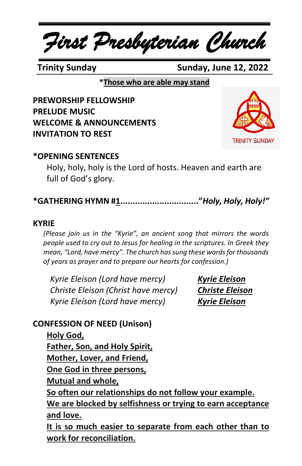*First Presbyterian Church*

 **Trinity Sunday Sunday, June 12, 2022**

**\*Those who are able may stand**

**PREWORSHIP FELLOWSHIP PRELUDE MUSIC WELCOME & ANNOUNCEMENTS INVITATION TO REST**



## **\*OPENING SENTENCES**

Holy, holy, holy is the Lord of hosts. Heaven and earth are full of God's glory.

**\*GATHERING HYMN #1................................"***Holy, Holy, Holy!"*

#### **KYRIE**

*(Please join us in the "Kyrie", an ancient song that mirrors the words people used to cry out to Jesus for healing in the scriptures. In Greek they mean, "Lord, have mercy". The church has sung these words for thousands of years as prayer and to prepare our hearts for confession.)*

*Kyrie Eleison (Lord have mercy) Kyrie Eleison Christe Eleison (Christ have mercy) Christe Eleison Kyrie Eleison (Lord have mercy) Kyrie Eleison*

## **CONFESSION OF NEED (Unison)**

**Holy God, Father, Son, and Holy Spirit, Mother, Lover, and Friend, One God in three persons, Mutual and whole, So often our relationships do not follow your example. We are blocked by selfishness or trying to earn acceptance and love. It is so much easier to separate from each other than to work for reconciliation.**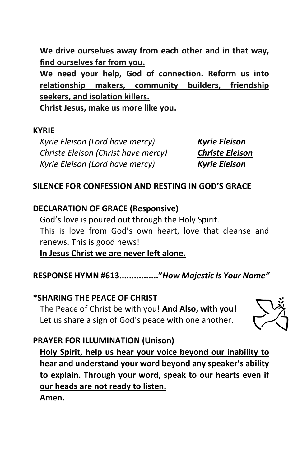**We drive ourselves away from each other and in that way, find ourselves far from you.**

**We need your help, God of connection. Reform us into relationship makers, community builders, friendship seekers, and isolation killers. Christ Jesus, make us more like you.**

#### **KYRIE**

*Kyrie Eleison (Lord have mercy) Kyrie Eleison Christe Eleison (Christ have mercy) Christe Eleison Kyrie Eleison (Lord have mercy) Kyrie Eleison*

## **SILENCE FOR CONFESSION AND RESTING IN GOD'S GRACE**

## **DECLARATION OF GRACE (Responsive)**

God's love is poured out through the Holy Spirit. This is love from God's own heart, love that cleanse and renews. This is good news!

**In Jesus Christ we are never left alone.**

**RESPONSE HYMN #613................"***How Majestic Is Your Name"*

## **\*SHARING THE PEACE OF CHRIST**

The Peace of Christ be with you! **And Also, with you!** Let us share a sign of God's peace with one another.



## **PRAYER FOR ILLUMINATION (Unison)**

**Holy Spirit, help us hear your voice beyond our inability to hear and understand your word beyond any speaker's ability to explain. Through your word, speak to our hearts even if our heads are not ready to listen. Amen.**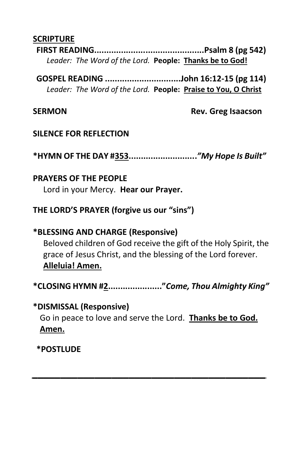#### **SCRIPTURE**

**FIRST READING.............................................Psalm 8 (pg 542)** *Leader: The Word of the Lord.* **People: Thanks be to God!**

**GOSPEL READING ...............................John 16:12-15 (pg 114)** *Leader: The Word of the Lord.* **People: Praise to You, O Christ**

**SERMON Rev. Greg Isaacson**

#### **SILENCE FOR REFLECTION**

**\*HYMN OF THE DAY #353............................***"My Hope Is Built"*

#### **PRAYERS OF THE PEOPLE**

Lord in your Mercy. **Hear our Prayer.**

**THE LORD'S PRAYER (forgive us our "sins")**

#### **\*BLESSING AND CHARGE (Responsive)**

Beloved children of God receive the gift of the Holy Spirit, the grace of Jesus Christ, and the blessing of the Lord forever. **Alleluia! Amen.**

**\*CLOSING HYMN #2......................"***Come, Thou Almighty King"*

#### **\*DISMISSAL (Responsive)**

Go in peace to love and serve the Lord. **Thanks be to God. Amen.**

*\_\_\_\_\_\_\_\_\_\_\_\_\_\_\_\_\_\_\_\_\_\_\_\_\_\_\_\_\_\_\_\_\_\_\_\_\_\_\_\_\_*

**\*POSTLUDE**